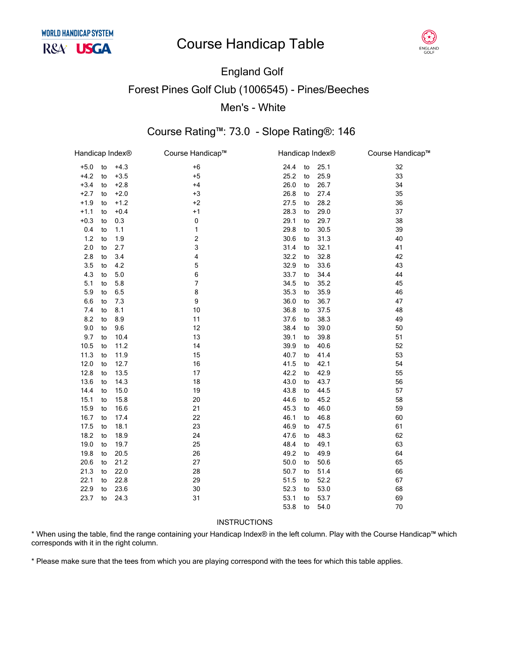# **Course Handicap Table**



# **England Golf Forest Pines Golf Club (1006545) - Pines/Beeches** Men's - White

## Course Rating™: 73.0 - Slope Rating®: 146

| Handicap Index® |    |         | Course Handicap™        | Handicap Index® |    |      | Course Handicap™ |
|-----------------|----|---------|-------------------------|-----------------|----|------|------------------|
| $+5.0$          | to | $+4.3$  | $+6$                    | 24.4            | to | 25.1 | 32               |
| $+4.2$          | to | $+3.5$  | $+5$                    | 25.2            | to | 25.9 | 33               |
| $+3.4$          | to | $+2.8$  | $+4$                    | 26.0            | to | 26.7 | 34               |
| $+2.7$          | to | $+2.0$  | $+3$                    | 26.8            | to | 27.4 | 35               |
| $+1.9$          | to | $+1.2$  | $+2$                    | 27.5            | to | 28.2 | 36               |
| $+1.1$          | to | $+0.4$  | $+1$                    | 28.3            | to | 29.0 | 37               |
| $+0.3$          | to | 0.3     | $\pmb{0}$               | 29.1            | to | 29.7 | 38               |
| 0.4             | to | 1.1     | 1                       | 29.8            | to | 30.5 | 39               |
| 1.2             | to | 1.9     | $\overline{\mathbf{c}}$ | 30.6            | to | 31.3 | 40               |
| 2.0             | to | 2.7     | 3                       | 31.4            | to | 32.1 | 41               |
| 2.8             | to | 3.4     | $\overline{\mathbf{4}}$ | 32.2            | to | 32.8 | 42               |
| 3.5             | to | 4.2     | 5                       | 32.9            | to | 33.6 | 43               |
| 4.3             | to | $5.0\,$ | 6                       | 33.7            | to | 34.4 | 44               |
| 5.1             | to | 5.8     | $\overline{7}$          | 34.5            | to | 35.2 | 45               |
| 5.9             | to | 6.5     | 8                       | 35.3            | to | 35.9 | 46               |
| 6.6             | to | 7.3     | 9                       | 36.0            | to | 36.7 | 47               |
| 7.4             | to | 8.1     | 10                      | 36.8            | to | 37.5 | 48               |
| 8.2             | to | 8.9     | 11                      | 37.6            | to | 38.3 | 49               |
| 9.0             | to | 9.6     | 12                      | 38.4            | to | 39.0 | 50               |
| 9.7             | to | 10.4    | 13                      | 39.1            | to | 39.8 | 51               |
| 10.5            | to | 11.2    | 14                      | 39.9            | to | 40.6 | 52               |
| 11.3            | to | 11.9    | 15                      | 40.7            | to | 41.4 | 53               |
| 12.0            | to | 12.7    | 16                      | 41.5            | to | 42.1 | 54               |
| 12.8            | to | 13.5    | 17                      | 42.2            | to | 42.9 | 55               |
| 13.6            | to | 14.3    | 18                      | 43.0            | to | 43.7 | 56               |
| 14.4            | to | 15.0    | 19                      | 43.8            | to | 44.5 | 57               |
| 15.1            | to | 15.8    | 20                      | 44.6            | to | 45.2 | 58               |
| 15.9            | to | 16.6    | 21                      | 45.3            | to | 46.0 | 59               |
| 16.7            | to | 17.4    | 22                      | 46.1            | to | 46.8 | 60               |
| 17.5            | to | 18.1    | 23                      | 46.9            | to | 47.5 | 61               |
| 18.2            | to | 18.9    | 24                      | 47.6            | to | 48.3 | 62               |
| 19.0            | to | 19.7    | 25                      | 48.4            | to | 49.1 | 63               |
| 19.8            | to | 20.5    | 26                      | 49.2            | to | 49.9 | 64               |
| 20.6            | to | 21.2    | 27                      | 50.0            | to | 50.6 | 65               |
| 21.3            | to | 22.0    | 28                      | 50.7            | to | 51.4 | 66               |
| 22.1            | to | 22.8    | 29                      | 51.5            | to | 52.2 | 67               |
| 22.9            | to | 23.6    | 30                      | 52.3            | to | 53.0 | 68               |
| 23.7            | to | 24.3    | 31                      | 53.1            | to | 53.7 | 69               |
|                 |    |         |                         | 53.8            | to | 54.0 | 70               |
|                 |    |         |                         |                 |    |      |                  |

#### **INSTRUCTIONS**

\* When using the table, find the range containing your Handicap Index® in the left column. Play with the Course Handicap™ which corresponds with it in the right column.

\* Please make sure that the tees from which you are playing correspond with the tees for which this table applies.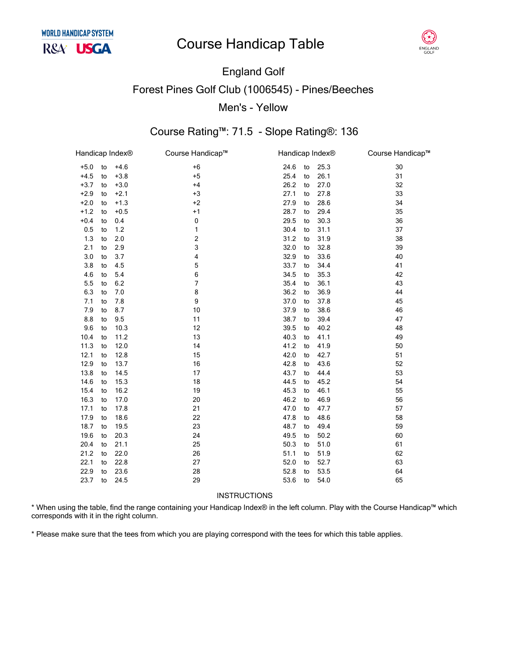# **Course Handicap Table**



# England Golf Forest Pines Golf Club (1006545) - Pines/Beeches Men's - Yellow

## Course Rating™: 71.5 - Slope Rating®: 136

| Handicap Index® |    |        | Course Handicap™        | Handicap Index® |    |      | Course Handicap™ |
|-----------------|----|--------|-------------------------|-----------------|----|------|------------------|
| $+5.0$          | to | $+4.6$ | $+6$                    | 24.6            | to | 25.3 | 30               |
| $+4.5$          | to | $+3.8$ | $+5$                    | 25.4            | to | 26.1 | 31               |
| $+3.7$          | to | $+3.0$ | $+4$                    | 26.2            | to | 27.0 | 32               |
| $+2.9$          | to | $+2.1$ | $+3$                    | 27.1            | to | 27.8 | 33               |
| $+2.0$          | to | $+1.3$ | $+2$                    | 27.9            | to | 28.6 | 34               |
| $+1.2$          | to | $+0.5$ | $+1$                    | 28.7            | to | 29.4 | 35               |
| $+0.4$          | to | 0.4    | 0                       | 29.5            | to | 30.3 | 36               |
| 0.5             | to | 1.2    | 1                       | 30.4            | to | 31.1 | 37               |
| 1.3             | to | 2.0    | $\overline{\mathbf{c}}$ | 31.2            | to | 31.9 | 38               |
| 2.1             | to | 2.9    | 3                       | 32.0            | to | 32.8 | 39               |
| 3.0             | to | 3.7    | 4                       | 32.9            | to | 33.6 | 40               |
| 3.8             | to | 4.5    | 5                       | 33.7            | to | 34.4 | 41               |
| 4.6             | to | 5.4    | 6                       | 34.5            | to | 35.3 | 42               |
| 5.5             | to | 6.2    | $\overline{7}$          | 35.4            | to | 36.1 | 43               |
| 6.3             | to | 7.0    | 8                       | 36.2            | to | 36.9 | 44               |
| 7.1             | to | 7.8    | 9                       | 37.0            | to | 37.8 | 45               |
| 7.9             | to | 8.7    | 10                      | 37.9            | to | 38.6 | 46               |
| 8.8             | to | 9.5    | 11                      | 38.7            | to | 39.4 | 47               |
| 9.6             | to | 10.3   | 12                      | 39.5            | to | 40.2 | 48               |
| 10.4            | to | 11.2   | 13                      | 40.3            | to | 41.1 | 49               |
| 11.3            | to | 12.0   | 14                      | 41.2            | to | 41.9 | 50               |
| 12.1            | to | 12.8   | 15                      | 42.0            | to | 42.7 | 51               |
| 12.9            | to | 13.7   | 16                      | 42.8            | to | 43.6 | 52               |
| 13.8            | to | 14.5   | 17                      | 43.7            | to | 44.4 | 53               |
| 14.6            | to | 15.3   | 18                      | 44.5            | to | 45.2 | 54               |
| 15.4            | to | 16.2   | 19                      | 45.3            | to | 46.1 | 55               |
| 16.3            | to | 17.0   | 20                      | 46.2            | to | 46.9 | 56               |
| 17.1            | to | 17.8   | 21                      | 47.0            | to | 47.7 | 57               |
| 17.9            | to | 18.6   | 22                      | 47.8            | to | 48.6 | 58               |
| 18.7            | to | 19.5   | 23                      | 48.7            | to | 49.4 | 59               |
| 19.6            | to | 20.3   | 24                      | 49.5            | to | 50.2 | 60               |
| 20.4            | to | 21.1   | 25                      | 50.3            | to | 51.0 | 61               |
| 21.2            | to | 22.0   | 26                      | 51.1            | to | 51.9 | 62               |
| 22.1            | to | 22.8   | 27                      | 52.0            | to | 52.7 | 63               |
| 22.9            | to | 23.6   | 28                      | 52.8            | to | 53.5 | 64               |
| 23.7            | to | 24.5   | 29                      | 53.6            | to | 54.0 | 65               |
|                 |    |        |                         |                 |    |      |                  |

#### INSTRUCTIONS

\* When using the table, find the range containing your Handicap Index® in the left column. Play with the Course Handicap™ which corresponds with it in the right column.

\* Please make sure that the tees from which you are playing correspond with the tees for which this table applies.